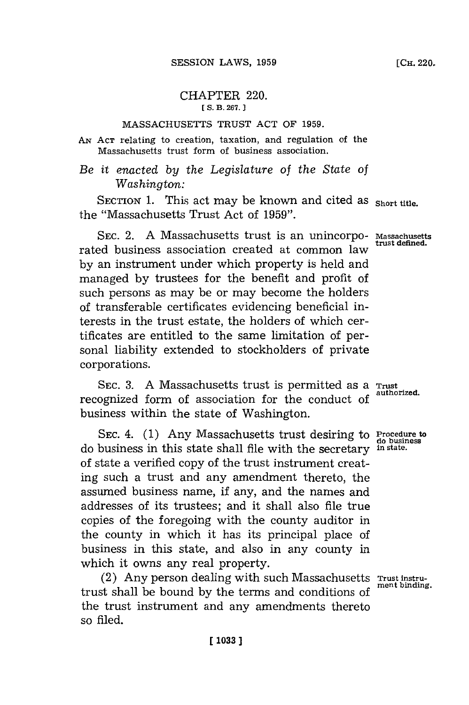## CHAPTER 220. **[ S. B. 267.**

### **MASSACHUSETTS** TRUST **ACT** OF **1959.**

**AN ACT** relating to creation, taxation, and regulation of the Massachusetts trust form of business association.

# *Be it enacted by the Legislature of the State of Washington:*

SECTION 1. This act may be known and cited as short title. the "Massachusetts Trust Act of **1959".**

**SEC.** 2. **A** Massachusetts trust is an unincorpo-**Massachusetts** rated business association created at common law **by** an instrument under which property is held and managed **by** trustees for the benefit and profit of such persons as may be or may become the holders of transferable certificates evidencing beneficial interests in the trust estate, the holders of which certificates are entitled to the same limitation of personal liability extended to stockholders of private corporations.

**SEC. 3. A** Massachusetts trust is permitted as a **Trust** recognized form of association for the conduct of business within the state of Washington.

**SEC.** 4. **(1)** Any Massachusetts trust desiring to Procedure to do business in this state shall file with the secretary **in state.** of state a verified copy of the trust instrument creating such a trust and any amendment thereto, the assumed business name, if any, and the names and addresses of its trustees; and it shall also file true copies of the foregoing with the county auditor in the county in which it has its principal place of business in this state, and also in any county in which it owns any real property.

(2) Any person dealing with such Massachusetts **Trust instru**trust shall be bound by the terms and conditions of the trust instrument and any amendments thereto so filed.

**trust defined.**

**do business**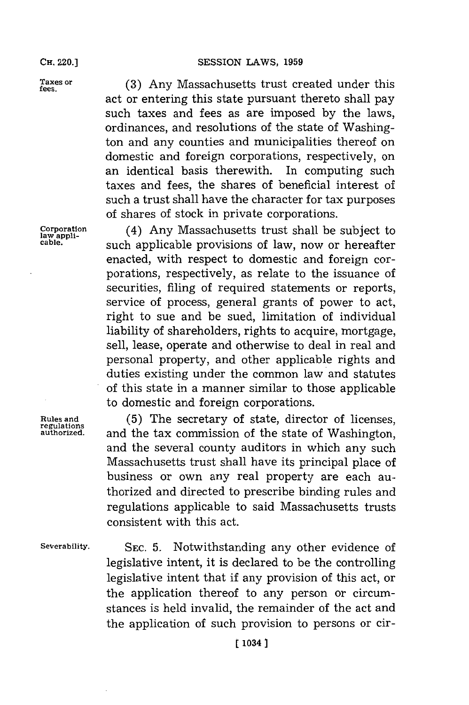act or entering this state pursuant thereto shall pay such taxes and fees as are imposed **by** the laws, ordinances, and resolutions of the state of Washington and any counties and municipalities thereof on domestic and foreign corporations, respectively, on

Taxes or **(3)** Any Massachusetts trust created under this

an identical basis therewith. In computing such taxes and fees, the shares of beneficial interest of such a trust shall have the character for tax purposes of shares of stock in private corporations. Corporation (4) Any Massachusetts trust shall be subject t **Corporation** (4) Any Massachusetts trust shall be subject to law applicable provisions of law, now or hereafter enacted, with respect to domestic and foreign corporations, respectively, as relate to the issuance of securities, filing of required statements or reports, service of process, general grants of power to act, right to sue and be sued, limitation of individual liability of shareholders, rights to acquire, mortgage, sell, lease, operate and otherwise to deal in real and personal property, and other applicable rights and duties existing under the common law and statutes of this state in a manner similar to those applicable to domestic and foreign corporations.

**Rules and (5)** The secretary of state, director of licenses, **regulations** and the tax commission of the state of Washington, and the several county auditors in which any such Massachusetts trust shall have its principal place of business or own any real property are each authorized and directed to prescribe binding rules and regulations applicable to said Massachusetts trusts consistent with this act.

**Severability. SEC. 5.** Notwithstanding any other evidence of legislative intent, it is declared to be the controlling legislative intent that if any provision of this act, or the application thereof to any person or circumstances is held invalid, the remainder of the act and the application of such provision to persons or cir